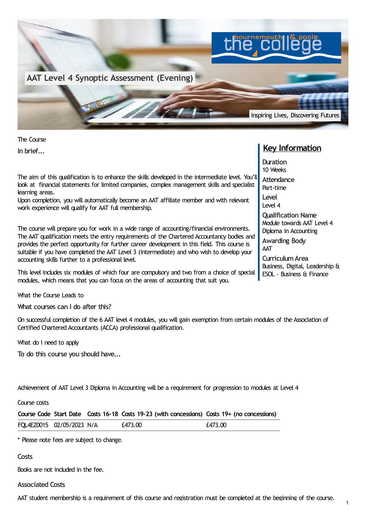

The Course **In brief...**

The aim of this qualification is to enhance the skills developed in the intermediate level. You'll look at financial statements for limited companies, complex management skills and specialist learning areas.

Upon completion, you will automatically become an AAT affiliate member and with relevant work experience will qualify for AAT full membership.

The course will prepare you for work in a wide range of accounting/financial environments. The AAT qualification meets the entry requirements of the Chartered Accountancy bodies and provides the perfect opportunity for further career development in this field. This course is suitable if you have completed the AAT Level 3 (Intermediate) and who wish to develop your accounting skills further to a professional level.

This level includes six modules of which four are compulsory and two from a choice of special modules, which means that you can focus on the areas of accounting that suit you.

What the Course Leads to

**What courses can I do after this?**

On successful completion of the 6 AAT level 4 modules, you will gain exemption from certain modules of the Association of Certified Chartered Accountants (ACCA) professional qualification.

What do I need to apply

**To do this course you should have...**

Achievement of AAT Level 3 Diploma in Accounting will be a requirement for progression to modules at Level 4

Course costs

|                           |  | Course Code Start Date Costs 16-18 Costs 19-23 (with concessions) Costs 19+ (no concessions) |         |
|---------------------------|--|----------------------------------------------------------------------------------------------|---------|
| FQL4EZ0015 02/05/2023 N/A |  | £473.00                                                                                      | £473.00 |
|                           |  |                                                                                              |         |

\* Please note fees are subject to change.

**Costs**

Books are not included in the fee.

**Associated Costs**

AAT student membership is a requirement of this course and registration must be completed at the beginning of the course.

## **Key Information**

**Duration** 10 Weeks **Attendance** Part-time **Level** Level 4 **Qualification Name** Module towards AAT Level 4 Diploma in Accounting **Awarding Body** AAT **CurriculumArea** Business, Digital, Leadership &

ESOL - Business & Finance